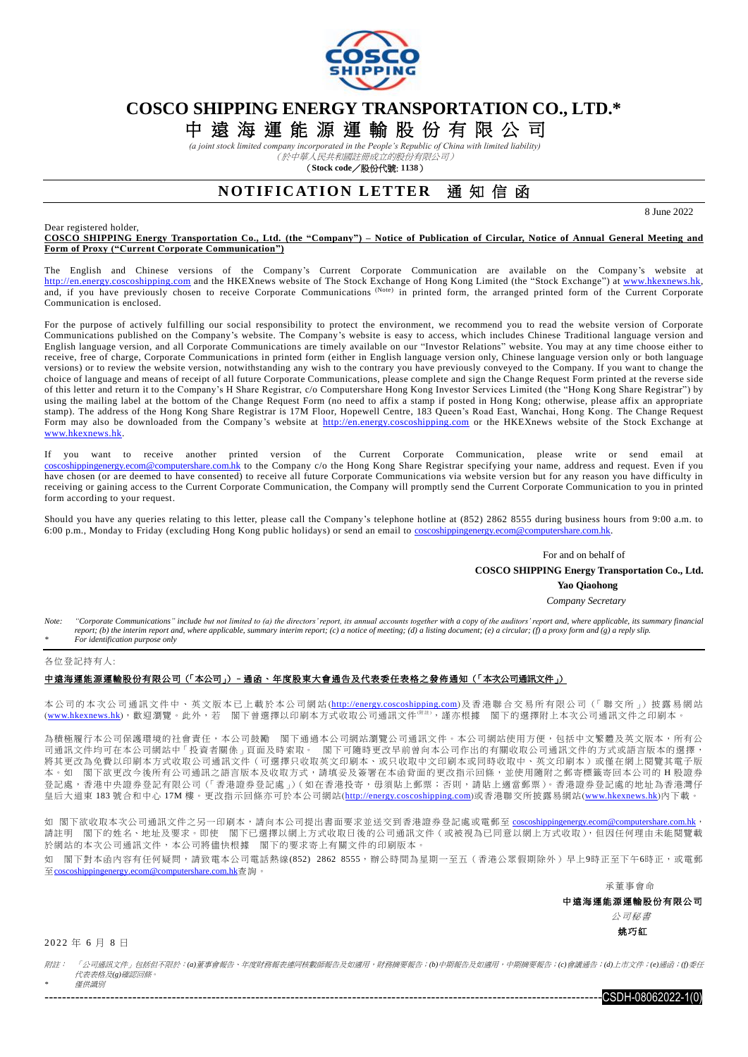

# **COSCO SHIPPING ENERGY TRANSPORTATION CO., LTD.\***

中 遠 海 運 能 源 運 輸 股 份 有 限 公 司

*(a joint stock limited company incorporated in the People's Republic of China with limited liability)* (於中華人民共和國註冊成立的股份有限公司)

(**Stock code**/股份代號: **1138**)

## **NOTIFICATION LETTER** 通知信函

8 June 2022

#### Dear registered holder,

**COSCO SHIPPING Energy Transportation Co., Ltd. (the "Company") – Notice of Publication of Circular, Notice of Annual General Meeting and Form of Proxy ("Current Corporate Communication")**

The English and Chinese versions of the Company's Current Corporate Communication are available on the Company's website at [http://en.energy.coscoshipping.com](http://en.energy.coscoshipping.com/) and the HKEXnews website of The Stock Exchange of Hong Kong Limited (the "Stock Exchange") at [www.hkexnews.hk,](http://www.hkexnews.hk/index.htm) and, if you have previously chosen to receive Corporate Communications (Note) in printed form, the arranged printed form of the Current Corporate Communication is enclosed.

For the purpose of actively fulfilling our social responsibility to protect the environment, we recommend you to read the website version of Corporate Communications published on the Company's website. The Company's website is easy to access, which includes Chinese Traditional language version and English language version, and all Corporate Communications are timely available on our "Investor Relations" website. You may at any time choose either to receive, free of charge, Corporate Communications in printed form (either in English language version only, Chinese language version only or both language versions) or to review the website version, notwithstanding any wish to the contrary you have previously conveyed to the Company. If you want to change the choice of language and means of receipt of all future Corporate Communications, please complete and sign the Change Request Form printed at the reverse side of this letter and return it to the Company's H Share Registrar, c/o Computershare Hong Kong Investor Services Limited (the "Hong Kong Share Registrar") by using the mailing label at the bottom of the Change Request Form (no need to affix a stamp if posted in Hong Kong; otherwise, please affix an appropriate stamp). The address of the Hong Kong Share Registrar is 17M Floor, Hopewell Centre, 183 Queen's Road East, Wanchai, Hong Kong. The Change Request Form may also be downloaded from the Company's website at [http://en.energy.coscoshipping.com](http://en.energy.coscoshipping.com/) or the HKEXnews website of the Stock Exchange at [www.hkexnews.hk.](http://www.hkexnews.hk/index.htm)

If you want to receive another printed version of the Current Corporate Communication, please write or send email at [coscoshippingenergy.ecom@computershare.com.hk](mailto:coscoshippingenergy.ecom@computershare.com.hk) to the Company c/o the Hong Kong Share Registrar specifying your name, address and request. Even if you have chosen (or are deemed to have consented) to receive all future Corporate Communications via website version but for any reason you have difficulty in receiving or gaining access to the Current Corporate Communication, the Company will promptly send the Current Corporate Communication to you in printed form according to your request.

Should you have any queries relating to this letter, please call the Company's telephone hotline at (852) 2862 8555 during business hours from 9:00 a.m. to 6:00 p.m., Monday to Friday (excluding Hong Kong public holidays) or send an email to [coscoshippingenergy.ecom@computershare.com.hk.](mailto:coscoshippingenergy.ecom@computershare.com.hk)

For and on behalf of

 **COSCO SHIPPING Energy Transportation Co., Ltd.**

**Yao Qiaohong**

*Company Secretary*

Note: "Corporate Communications" include but not limited to (a) the directors' report, its annual accounts together with a copy of the auditors' report and, where applicable, its summary financial *report; (b) the interim report and, where applicable, summary interim report; (c) a notice of meeting; (d) a listing document; (e) a circular; (f) a proxy form and (g) a reply slip. \* For identification purpose only*

#### 各位登記持有人:

#### 中遠海運能源運輸股份有限公司(「本公司」)–通函、年度股東大會通告及代表委任表格之發佈通知(「本次公司通訊文件」)

本公司仍本次公司通訊文件中、英文版本已上載於本公司網站([http://energy.coscoshipping.com](http://energy.coscoshipping.com/))及香港聯合交易所有限公司(「聯交所」) 披露易網站 ([www.hkexnews.hk](http://www.hkexnews.hk/index_c.htm)),歡迎瀏覽。此外,若 閣下曾選擇以印刷本方式收取公司通訊文件(##),謹亦根據 閣下的選擇附上本次公司通訊文件之印刷本。

為積極履行本公司保護環境的社會責任,本公司鼓勵 閣下通過本公司網站瀏覽公司通訊文件。本公司網站使用方便,包括中文繁體及英文版本,所有公 司通訊文件均可在本公司網站中「投資者關係」頁面及時索取。 閣下可隨時更改早前曾向本公司作出的有關收取公司通訊文件的方式或語言版本的選擇, 將其更改為免費以印刷本方式收取公司通訊文件(可選擇只收取英文印刷本、或只收取中文印刷本或同時收取中、英文印刷本)或僅在網上閱覽其電子版 本。如 閣下欲更改今後所有公司通訊之語言版本及收取方式,請填妥及簽署在本函背面的更改指示回條,並使用隨附之郵寄標籤寄回本公司的 H 股證券 登記處,香港中央證券登記有限公司(「香港證券登記處」)(如在香港投寄,毋須貼上郵票;否則,請貼上適當郵票)。香港證券登記處的地址為香港灣仔 皇后大道東 183 號合和中心 17M 樓。更改指示回條亦可於本公司網站([http://energy.coscoshipping.com](http://energy.coscoshipping.com/))或香港聯交所披露易網站([www.hkexnews.hk](http://www.hkexnews.hk/index_c.htm))内下載。

如 閣下欲收取本次公司通訊文件之另一印刷本,請向本公司提出書面要求並送交到香港證券登記處或電郵至 [coscoshippingenergy.ecom@computershare.com.hk](mailto:coscoshippingenergy.ecom@computershare.com.hk), 請註明 閣下的姓名、地址及要求。即使 閣下已選擇以網上方式收取日後的公司通訊文件(或被視為已同意以網上方式收取),但因任何理由未能閱覽載 於網站的本次公司通訊文件,本公司將儘快根據 閣下的要求寄上有關文件的印刷版本

如 閣下對本函內容有任何疑問,請致電本公司電話熱線(852) 2862 8555,辦公時間為星期一至五(香港公眾假期除外)早上9時正至下午6時正,或電郵 至[coscoshippingenergy.ecom@computershare.com.hk](mailto:coscoshippingenergy.ecom@computershare.com.hk)查詢。

承董事會命

中遠海運能源運輸股份有限公司

 公司秘書 姚巧紅

2 0 22 年 6 月 8 日

附註: 「公司通訊文件」包括但不限於:*(a)*董事會報告、年度財務報表連同核數師報告及如適用,財務摘要報告;*(b)*中期報告及如適用,中期摘要報告;*(c)*會議通告;*(d)*上市文件;*(e)*通函;*(f)*委任 代表表格及*(g)*確認回條。

*\** 僅供識別

 $-$ CSDH-08062022-1(0)